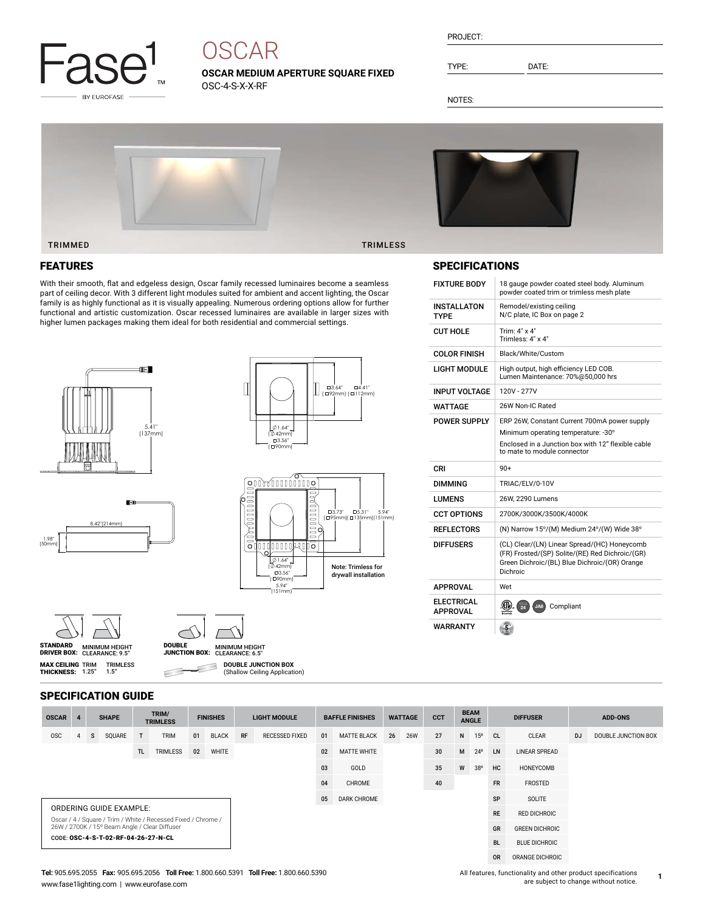

# **OSCAR**

**OSCAR MEDIUM APERTURE SQUARE FIXED** OSC-4-S-X-X-RF

| PROJECT: |  |
|----------|--|
|          |  |

TYPE: DATE:

NOTES:



# FEATURES

With their smooth, flat and edgeless design, Oscar family recessed luminaires become a seamless part of ceiling decor. With 3 different light modules suited for ambient and accent lighting, the Oscar family is as highly functional as it is visually appealing. Numerous ordering options allow for further functional and artistic customization. Oscar recessed luminaires are available in larger sizes with higher lumen packages making them ideal for both residential and commercial settings.









**MAX CEILING** TRIM<br>**THICKNESS:** 1.25"



 $\subset$ 

**DOUBLE JUNCTION BOX** З (Shallow Ceiling Application)

# SPECIFICATIONS

| <b>FIXTURE BODY</b>                              | 18 gauge powder coated steel body. Aluminum<br>powder coated trim or trimless mesh plate                                                                     |
|--------------------------------------------------|--------------------------------------------------------------------------------------------------------------------------------------------------------------|
| INSTALLATON<br><b>TYPF</b>                       | Remodel/existing ceiling<br>N/C plate, IC Box on page 2                                                                                                      |
| CUT HOLF                                         | Trim: 4" x 4"<br>Trimless: 4" x 4"                                                                                                                           |
| <b>COLOR FINISH</b>                              | Black/White/Custom                                                                                                                                           |
| LIGHT MODULE                                     | High output, high efficiency LED COB.<br>Lumen Maintenance: 70%@50,000 hrs                                                                                   |
| <b>INPUT VOLTAGE</b>                             | 120V - 277V                                                                                                                                                  |
| WATTAGE                                          | 26W Non-IC Rated                                                                                                                                             |
| POWER SUPPLY                                     | ERP 26W, Constant Current 700mA power supply                                                                                                                 |
|                                                  | Minimum operating temperature: -30°                                                                                                                          |
|                                                  | Enclosed in a Junction box with 12" flexible cable<br>to mate to module connector                                                                            |
| CRI                                              | $90+$                                                                                                                                                        |
|                                                  |                                                                                                                                                              |
| <b>DIMMING</b>                                   | TRIAC/ELV/0-10V                                                                                                                                              |
| <b>I UMFNS</b>                                   | 26W. 2290 Lumens                                                                                                                                             |
|                                                  | 2700K/3000K/3500K/4000K                                                                                                                                      |
| <b>CCT OPTIONS</b><br><b>REFLECTORS</b>          | (N) Narrow 15°/(M) Medium 24°/(W) Wide 38°                                                                                                                   |
| <b>DIFFUSERS</b>                                 | (CL) Clear/(LN) Linear Spread/(HC) Honeycomb<br>(FR) Frosted/(SP) Solite/(RE) Red Dichroic/(GR)<br>Green Dichroic/(BL) Blue Dichroic/(OR) Orange<br>Dichroic |
|                                                  | Wet                                                                                                                                                          |
| <b>APPROVAL</b><br><b>ELECTRICAL</b><br>APPROVAL | .CIV<br>Compliant<br>$\frac{1}{24}$<br>JA8                                                                                                                   |

| <b>SPECIFICATION GUIDE</b> |  |
|----------------------------|--|
|----------------------------|--|

TRIMLESS 1.5"

| <b>OSCAR</b>                                                                                                   |  |   | <b>SHAPE</b> |     | TRIM/<br><b>TRIMLESS</b> |    | <b>FINISHES</b> |                    | <b>LIGHT MODULE</b> |    | <b>BAFFLE FINISHES</b> |           | <b>WATTAGE</b>       | <b>CCT</b>            |                 | <b>BEAM</b><br><b>ANGLE</b> |    | <b>DIFFUSER</b>      | <b>ADD-ONS</b> |                     |
|----------------------------------------------------------------------------------------------------------------|--|---|--------------|-----|--------------------------|----|-----------------|--------------------|---------------------|----|------------------------|-----------|----------------------|-----------------------|-----------------|-----------------------------|----|----------------------|----------------|---------------------|
| <b>OSC</b>                                                                                                     |  | s | SQUARE       | T   | <b>TRIM</b>              | 01 | <b>BLACK</b>    | RF                 | RECESSED FIXED      | 01 | <b>MATTE BLACK</b>     | 26        | <b>26W</b>           | 27                    | N               | 15°                         | CL | <b>CLEAR</b>         | <b>DJ</b>      | DOUBLE JUNCTION BOX |
|                                                                                                                |  |   |              | TL. | TRIMLESS                 | 02 | <b>WHITE</b>    |                    |                     | 02 | <b>MATTE WHITE</b>     |           |                      | 30                    | M               | $24^{\circ}$                | LN | <b>LINEAR SPREAD</b> |                |                     |
|                                                                                                                |  |   |              |     |                          |    |                 |                    |                     | 03 | GOLD                   |           |                      | 35                    | W               | 38°                         | HC | HONEYCOMB            |                |                     |
|                                                                                                                |  |   |              |     |                          | 04 | CHROME          |                    |                     | 40 |                        |           | <b>FR</b>            | FROSTED               |                 |                             |    |                      |                |                     |
|                                                                                                                |  |   |              |     |                          |    | 05              | <b>DARK CHROME</b> |                     |    |                        |           | <b>SP</b>            | SOLITE                |                 |                             |    |                      |                |                     |
| ORDERING GUIDE EXAMPLE:                                                                                        |  |   |              |     |                          |    |                 |                    |                     |    |                        | <b>RE</b> | <b>RED DICHROIC</b>  |                       |                 |                             |    |                      |                |                     |
| Oscar / 4 / Square / Trim / White / Recessed Fixed / Chrome /<br>26W / 2700K / 15° Beam Angle / Clear Diffuser |  |   |              |     |                          |    |                 |                    |                     |    |                        |           | GR                   | <b>GREEN DICHROIC</b> |                 |                             |    |                      |                |                     |
| CODE: OSC-4-S-T-02-RF-04-26-27-N-CL                                                                            |  |   |              |     |                          |    |                 |                    |                     |    |                        | <b>BL</b> | <b>BLUE DICHROIC</b> |                       |                 |                             |    |                      |                |                     |
|                                                                                                                |  |   |              |     |                          |    |                 |                    |                     |    |                        |           |                      | <b>OR</b>             | ORANGE DICHROIC |                             |    |                      |                |                     |

#### **Tel:** 905.695.2055 **Fax:** 905.695.2056 **Toll Free:** 1.800.660.5391 **Toll Free:** 1.800.660.5390 www.fase1lighting.com | www.eurofase.com

All features, functionality and other product specifications are subject to change without notice.

**1**